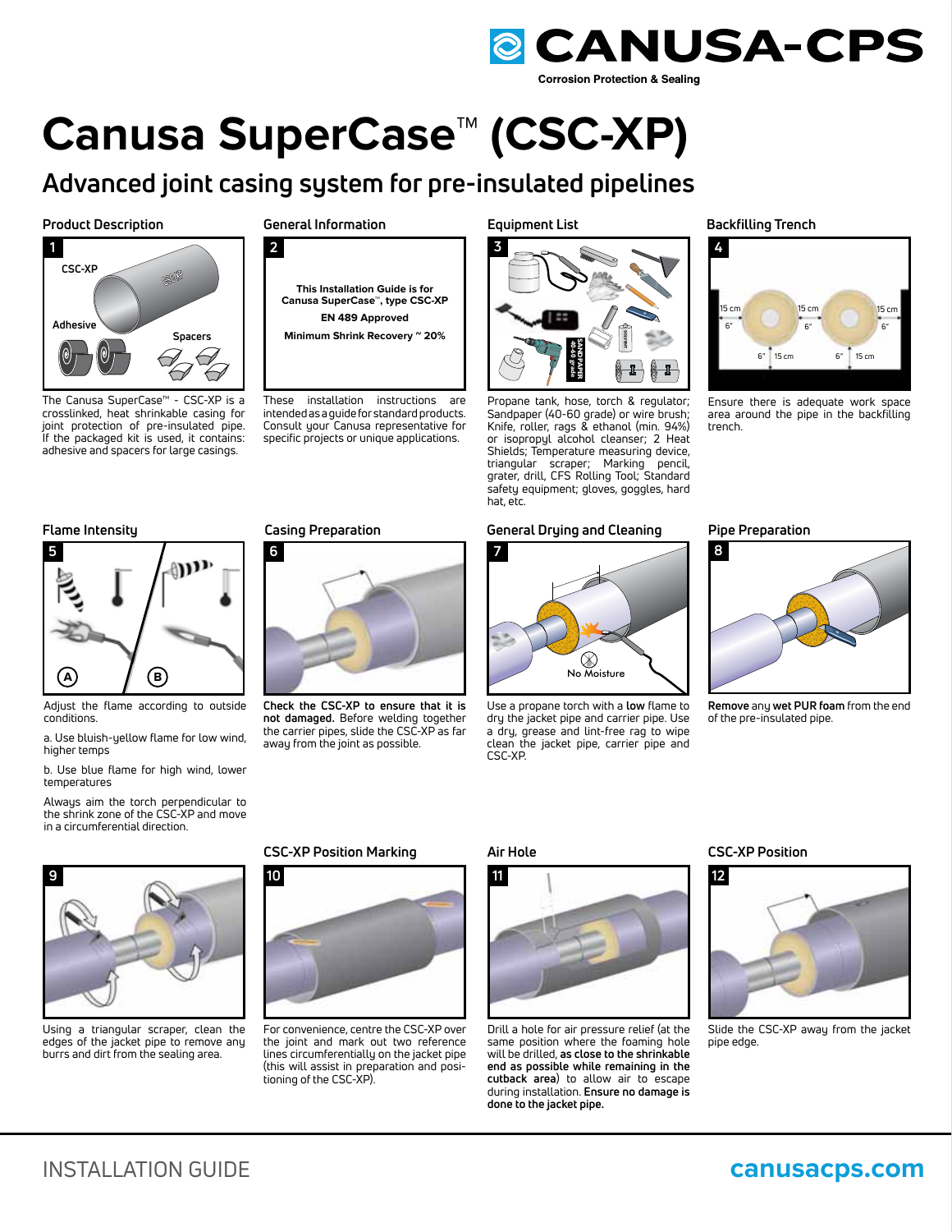

# **Canusa SuperCase™ (CSC-XP)**

## **Advanced joint casing system for pre-insulated pipelines**

**Product Description General Information**



The Canusa SuperCase™ - CSC-XP is a crosslinked, heat shrinkable casing for joint protection of pre-insulated pipe. If the packaged kit is used, it contains: adhesive and spacers for large casings.

**2**



These installation instructions are intended as a guide for standard products. Consult your Canusa representative for specific projects or unique applications.

**Equipment List**



Propane tank, hose, torch & regulator; Sandpaper (40-60 grade) or wire brush; Knife, roller, rags & ethanol (min. 94%) or isopropyl alcohol cleanser; 2 Heat Shields; Temperature measuring device, triangular scraper; Marking pencil, grater, drill, CFS Rolling Tool; Standard safety equipment; gloves, goggles, hard hat, etc.

### **Flame Intensity Casing Preparation Pipe Preparation General Drying and Cleaning**



Use a propane torch with a **low** flame to dry the jacket pipe and carrier pipe. Use a dry, grease and lint-free rag to wipe clean the jacket pipe, carrier pipe and CSC-XP.

#### **Backfilling Trench**



Ensure there is adequate work space area around the pipe in the backfilling trench.



- Adjust the flame according to outside conditions.
- a. Use bluish-yellow flame for low wind, higher temps

b. Use blue flame for high wind, lower temperatures

Always aim the torch perpendicular to the shrink zone of the CSC-XP and move in a circumferential direction.



**Check the CSC-XP to ensure that it is not damaged.** Before welding together the carrier pipes, slide the CSC-XP as far away from the joint as possible.





**Remove** any **wet PUR foam** from the end of the pre-insulated pipe.



Using a triangular scraper, clean the edges of the jacket pipe to remove any burrs and dirt from the sealing area.

### **CSC-XP Position Marking**



For convenience, centre the CSC-XP over the joint and mark out two reference lines circumferentially on the jacket pipe (this will assist in preparation and positioning of the CSC-XP).

#### **Air Hole**



Drill a hole for air pressure relief (at the same position where the foaming hole will be drilled, **as close to the shrinkable end as possible while remaining in the cutback area**) to allow air to escape during installation. **Ensure no damage is done to the jacket pipe.**

#### **CSC-XP Position**



Slide the CSC-XP away from the jacket pipe edge.

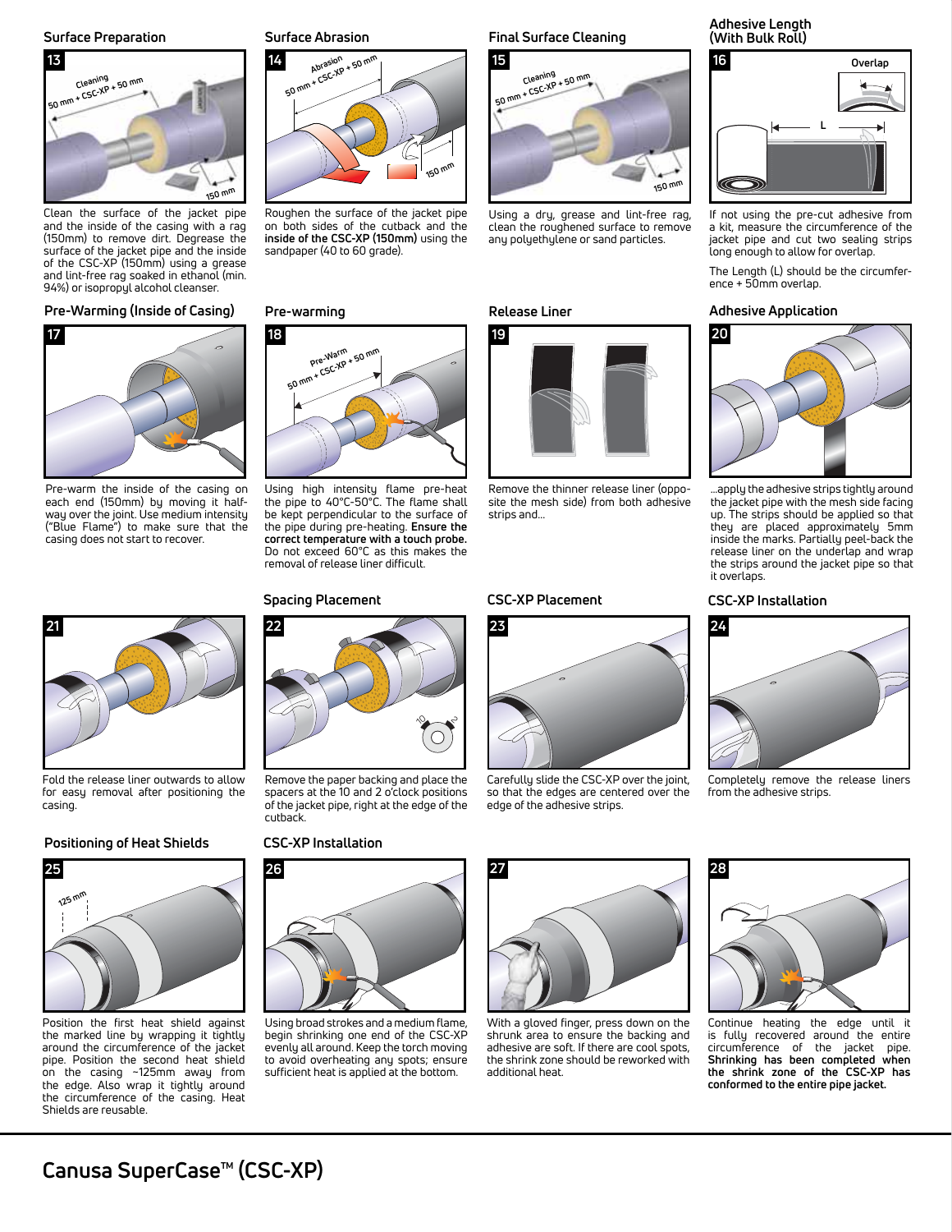**Surface Preparation Surface Abrasion**



Clean the surface of the jacket pipe and the inside of the casing with a rag (150mm) to remove dirt. Degrease the surface of the jacket pipe and the inside of the CSC-XP (150mm) using a grease and lint-free rag soaked in ethanol (min. 94%) or isopropyl alcohol cleanser.

#### **Pre-Warming (Inside of Casing) Pre-warming**



Pre-warm the inside of the casing on each end (150mm) by moving it halfway over the joint. Use medium intensity ("Blue Flame") to make sure that the casing does not start to recover.



Fold the release liner outwards to allow for easy removal after positioning the casing.

### **Positioning of Heat Shields**



Position the first heat shield against the marked line by wrapping it tightly around the circumference of the jacket pipe. Position the second heat shield on the casing ~125mm away from the edge. Also wrap it tightly around the circumference of the casing. Heat Shields are reusable.



Roughen the surface of the jacket pipe on both sides of the cutback and the **inside of the CSC-XP (150mm)** using the sandpaper (40 to 60 grade).



Using high intensity flame pre-heat the pipe to 40°C-50°C. The flame shall be kept perpendicular to the surface of the pipe during pre-heating. **Ensure the correct temperature with a touch probe.** Do not exceed 60°C as this makes the removal of release liner difficult.

#### **Spacing Placement**



Remove the paper backing and place the spacers at the 10 and 2 o'clock positions of the jacket pipe, right at the edge of the cutback.

#### **CSC-XP Installation**



Using broad strokes and a medium flame, begin shrinking one end of the CSC-XP evenly all around. Keep the torch moving to avoid overheating any spots; ensure sufficient heat is applied at the bottom.

### **Final Surface Cleaning**



Using a dry, grease and lint-free rag, clean the roughened surface to remove any polyethylene or sand particles.

#### **Release Liner**



Remove the thinner release liner (opposite the mesh side) from both adhesive strips and...

#### **CSC-XP Placement**



Carefully slide the CSC-XP over the joint, so that the edges are centered over the edge of the adhesive strips.





If not using the pre-cut adhesive from a kit, measure the circumference of the jacket pipe and cut two sealing strips long enough to allow for overlap.

The Length (L) should be the circumference + 50mm overlap.

#### **Adhesive Application**



…apply the adhesive strips tightly around the jacket pipe with the mesh side facing up. The strips should be applied so that they are placed approximately 5mm inside the marks. Partially peel-back the release liner on the underlap and wrap the strips around the jacket pipe so that it overlaps.

#### **CSC-XP Installation**



Completely remove the release liners from the adhesive strips.



With a gloved finger, press down on the shrunk area to ensure the backing and adhesive are soft. If there are cool spots, the shrink zone should be reworked with additional heat.



Continue heating the edge until it is fully recovered around the entire circumference of the jacket pipe. **Shrinking has been completed when the shrink zone of the CSC-XP has conformed to the entire pipe jacket.**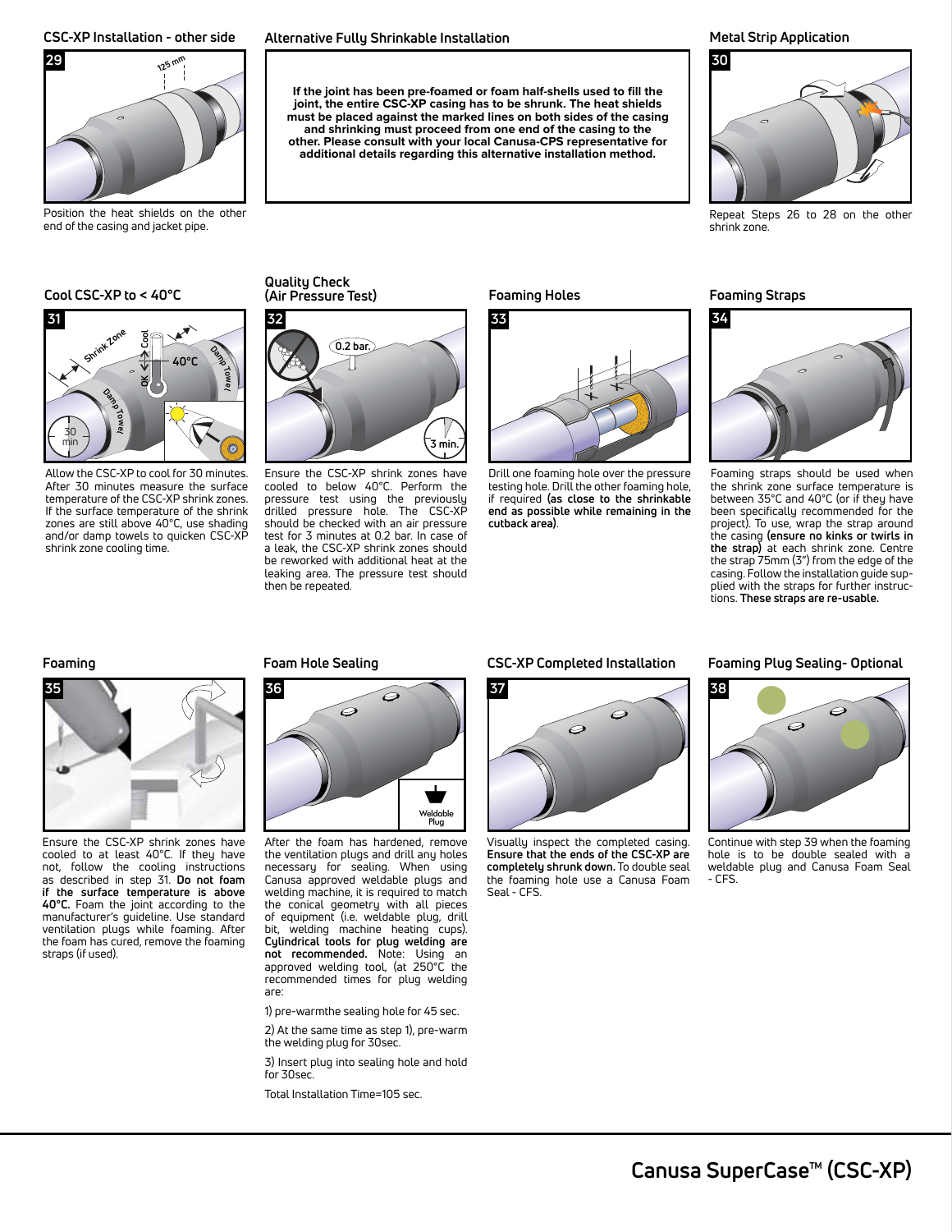

Position the heat shields on the other end of the casing and jacket pipe.

#### **Cool CSC-XP to < 40°C**



Allow the CSC-XP to cool for 30 minutes. After 30 minutes measure the surface temperature of the CSC-XP shrink zones. If the surface temperature of the shrink zones are still above 40°C, use shading and/or damp towels to quicken CSC-XP shrink zone cooling time.

### **CSC-XP Installation - other side Alternative Fully Shrinkable Installation**

If the joint has been pre-foamed or foam half-shells used to fill the **joint, the entire CSC-XP casing has to be shrunk. The heat shields must be placed against the marked lines on both sides of the casing and shrinking must proceed from one end of the casing to the other. Please consult with your local Canusa-CPS representative for additional details regarding this alternative installation method.**

#### **Metal Strip Application**



Repeat Steps 26 to 28 on the other shrink zone.

**Quality Check (Air Pressure Test)**



Ensure the CSC-XP shrink zones have cooled to below 40°C. Perform the pressure test using the previously drilled pressure hole. The CSC-XP should be checked with an air pressure test for 3 minutes at 0.2 bar. In case of a leak, the CSC-XP shrink zones should be reworked with additional heat at the leaking area. The pressure test should then be repeated.

**Foaming Holes**



Drill one foaming hole over the pressure testing hole. Drill the other foaming hole, if required **(as close to the shrinkable end as possible while remaining in the cutback area)**.

**Foaming Straps**



Foaming straps should be used when the shrink zone surface temperature is between 35°C and 40°C (or if they have been specifically recommended for the project). To use, wrap the strap around the casing **(ensure no kinks or twirls in the strap)** at each shrink zone. Centre the strap 75mm (3") from the edge of the casing. Follow the installation guide supplied with the straps for further instructions. **These straps are re-usable.**



Ensure the CSC-XP shrink zones have cooled to at least 40°C. If they have not, follow the cooling instructions as described in step 31. **Do not foam if the surface temperature is above 40°C.** Foam the joint according to the manufacturer's guideline. Use standard ventilation plugs while foaming. After the foam has cured, remove the foaming straps (if used).

#### **Foaming Foam Hole Sealing**



After the foam has hardened, remove the ventilation plugs and drill any holes necessary for sealing. When using Canusa approved weldable plugs and welding machine, it is required to match the conical geometry with all pieces of equipment (i.e. weldable plug, drill<br>bit welding machine heating cuns) welding machine heating cups). **Cylindrical tools for plug welding are not recommended.** Note: Using an approved welding tool, (at 250°C the recommended times for plug welding are:

1) pre-warmthe sealing hole for 45 sec.

2) At the same time as step 1), pre-warm the welding plug for 30sec.

3) Insert plug into sealing hole and hold for 30sec.

Total Installation Time=105 sec.

#### **CSC-XP Completed Installation**



Visually inspect the completed casing. **Ensure that the ends of the CSC-XP are completely shrunk down.** To double seal the foaming hole use a Canusa Foam Seal - CFS.

#### **Foaming Plug Sealing- Optional**



Continue with step 39 when the foaming hole is to be double sealed with a weldable plug and Canusa Foam Seal - CFS.